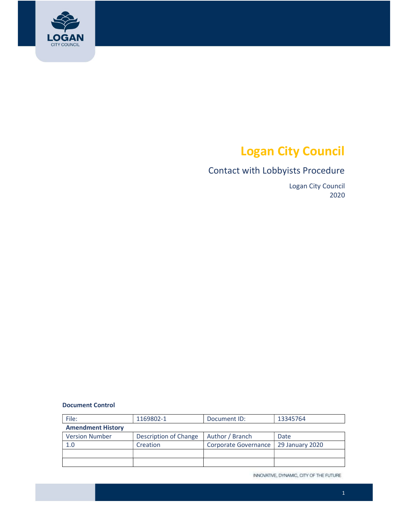

# Logan City Council

## Contact with Lobbyists Procedure

Logan City Council 2020

#### Document Control

| File:                    | 1169802-1             | Document ID:         | 13345764        |  |  |
|--------------------------|-----------------------|----------------------|-----------------|--|--|
| <b>Amendment History</b> |                       |                      |                 |  |  |
| <b>Version Number</b>    | Description of Change | Author / Branch      | Date            |  |  |
| 1.0                      | Creation              | Corporate Governance | 29 January 2020 |  |  |
|                          |                       |                      |                 |  |  |
|                          |                       |                      |                 |  |  |

INNOVATIVE, DYNAMIC, CITY OF THE FUTURE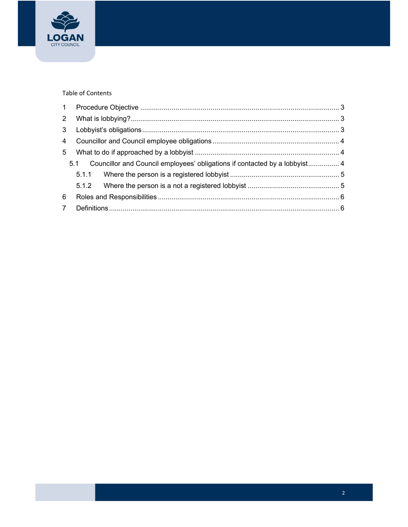

#### Table of Contents

| 3 <sup>7</sup> |  |                                                                                |  |
|----------------|--|--------------------------------------------------------------------------------|--|
|                |  |                                                                                |  |
| 5 <sup>5</sup> |  |                                                                                |  |
|                |  | 5.1 Councillor and Council employees' obligations if contacted by a lobbyist 4 |  |
|                |  |                                                                                |  |
|                |  |                                                                                |  |
| 6              |  |                                                                                |  |
|                |  |                                                                                |  |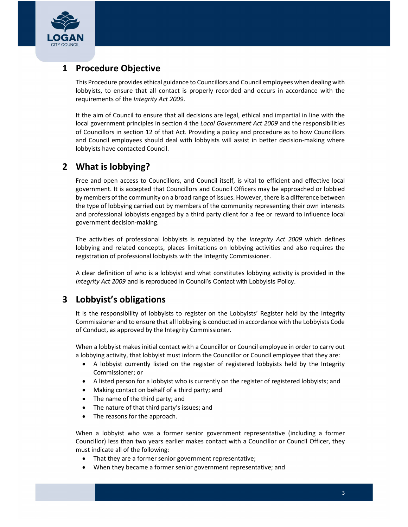<span id="page-2-0"></span>

### 1 Procedure Objective

 This Procedure provides ethical guidance to Councillors and Council employees when dealing with lobbyists, to ensure that all contact is properly recorded and occurs in accordance with the requirements of the Integrity Act 2009.

 It the aim of Council to ensure that all decisions are legal, ethical and impartial in line with the local government principles in section 4 the Local Government Act 2009 and the responsibilities of Councillors in section 12 of that Act. Providing a policy and procedure as to how Councillors and Council employees should deal with lobbyists will assist in better decision-making where lobbyists have contacted Council.

#### 2 What is lobbying?

 Free and open access to Councillors, and Council itself, is vital to efficient and effective local government. It is accepted that Councillors and Council Officers may be approached or lobbied by members ofthe community on a broad range of issues. However, there is a difference between the type of lobbying carried out by members of the community representing their own interests and professional lobbyists engaged by a third party client for a fee or reward to influence local government decision-making.

The activities of professional lobbyists is regulated by the Integrity Act 2009 which defines lobbying and related concepts, places limitations on lobbying activities and also requires the registration of professional lobbyists with the Integrity Commissioner.

A clear definition of who is a lobbyist and what constitutes lobbying activity is provided in the Integrity Act 2009 and is reproduced in Council's Contact with Lobbyists Policy.

### 3 Lobbyist's obligations

 It is the responsibility of lobbyists to register on the Lobbyists' Register held by the Integrity Commissioner and to ensure that all lobbying is conducted in accordance with the Lobbyists Code of Conduct, as approved by the Integrity Commissioner.

 When a lobbyist makes initial contact with a Councillor or Council employee in order to carry out a lobbying activity, that lobbyist must inform the Councillor or Council employee that they are:

- A lobbyist currently listed on the register of registered lobbyists held by the Integrity Commissioner; or
- A listed person for a lobbyist who is currently on the register of registered lobbyists; and
- Making contact on behalf of a third party; and
- The name of the third party; and
- The nature of that third party's issues; and
- The reasons for the approach.

 When a lobbyist who was a former senior government representative (including a former Councillor) less than two years earlier makes contact with a Councillor or Council Officer, they must indicate all of the following:

- That they are a former senior government representative;
- When they became a former senior government representative; and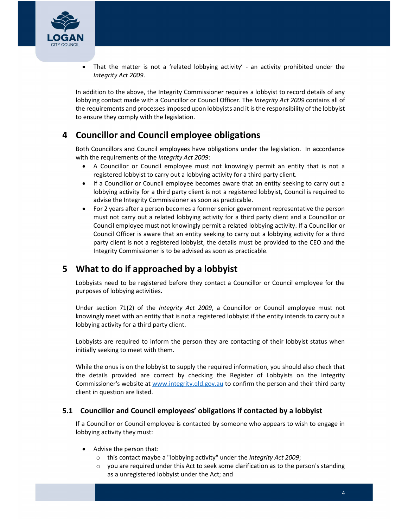<span id="page-3-0"></span>

 That the matter is not a 'related lobbying activity' - an activity prohibited under the Integrity Act 2009.

 In addition to the above, the Integrity Commissioner requires a lobbyist to record details of any lobbying contact made with a Councillor or Council Officer. The Integrity Act 2009 contains all of the requirements and processes imposed upon lobbyists and it is the responsibility of the lobbyist to ensure they comply with the legislation.

### 4 Councillor and Council employee obligations

 Both Councillors and Council employees have obligations under the legislation. In accordance with the requirements of the Integrity Act 2009:

- A Councillor or Council employee must not knowingly permit an entity that is not a registered lobbyist to carry out a lobbying activity for a third party client.
- If a Councillor or Council employee becomes aware that an entity seeking to carry out a lobbying activity for a third party client is not a registered lobbyist, Council is required to advise the Integrity Commissioner as soon as practicable.
- For 2 years after a person becomes a former senior government representative the person must not carry out a related lobbying activity for a third party client and a Councillor or Council employee must not knowingly permit a related lobbying activity. If a Councillor or Council Officer is aware that an entity seeking to carry out a lobbying activity for a third party client is not a registered lobbyist, the details must be provided to the CEO and the Integrity Commissioner is to be advised as soon as practicable.

### 5 What to do if approached by a lobbyist

 Lobbyists need to be registered before they contact a Councillor or Council employee for the purposes of lobbying activities.

Under section 71(2) of the Integrity Act 2009, a Councillor or Council employee must not knowingly meet with an entity that is not a registered lobbyist if the entity intends to carry out a lobbying activity for a third party client.

 Lobbyists are required to inform the person they are contacting of their lobbyist status when initially seeking to meet with them.

 While the onus is on the lobbyist to supply the required information, you should also check that the details provided are correct by checking the Register of Lobbyists on the Integrity Commissioner's website at <www.integrity.qld.gov.au> to confirm the person and their third party client in question are listed.

#### 5.1 Councillor and Council employees' obligations if contacted by a lobbyist

 If a Councillor or Council employee is contacted by someone who appears to wish to engage in lobbying activity they must:

- Advise the person that:
	- o this contact maybe a "lobbying activity" under the Integrity Act 2009;
	- o you are required under this Act to seek some clarification as to the person's standing as a unregistered lobbyist under the Act; and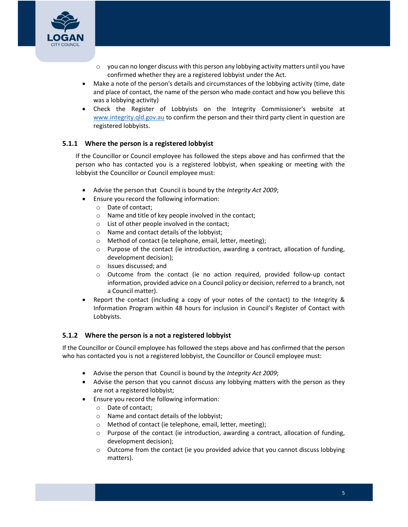<span id="page-4-0"></span>

- o you can no longer discuss with this person any lobbying activity matters until you have confirmed whether they are a registered lobbyist under the Act.
- Make a note of the person's details and circumstances of the lobbying activity (time, date and place of contact, the name of the person who made contact and how you believe this was a lobbying activity)
- Check the Register of Lobbyists on the Integrity Commissioner's website at <www.integrity.qld.gov.au> to confirm the person and their third party client in question are registered lobbyists.

#### 5.1.1 Where the person is a registered lobbyist

 If the Councillor or Council employee has followed the steps above and has confirmed that the person who has contacted you is a registered lobbyist, when speaking or meeting with the lobbyist the Councillor or Council employee must:

- Advise the person that Council is bound by the Integrity Act 2009;
- Ensure you record the following information:
	- o Date of contact;
	- o Name and title of key people involved in the contact;
	- o List of other people involved in the contact;
	- o Name and contact details of the lobbyist;
	- o Method of contact (ie telephone, email, letter, meeting);
	- o Purpose of the contact (ie introduction, awarding a contract, allocation of funding, development decision);
	- o Issues discussed; and
	- o Outcome from the contact (ie no action required, provided follow-up contact information, provided advice on a Council policy or decision, referred to a branch, not a Council matter).
- Report the contact (including a copy of your notes of the contact) to the Integrity & Information Program within 48 hours for inclusion in Council's Register of Contact with Lobbyists.

#### 5.1.2 Where the person is a not a registered lobbyist

 If the Councillor or Council employee has followed the steps above and has confirmed that the person who has contacted you is not a registered lobbyist, the Councillor or Council employee must:

- Advise the person that Council is bound by the Integrity Act 2009;
- Advise the person that you cannot discuss any lobbying matters with the person as they are not a registered lobbyist;
- Ensure you record the following information:
	- o Date of contact;
	- o Name and contact details of the lobbyist;
	- o Method of contact (ie telephone, email, letter, meeting);
	- o Purpose of the contact (ie introduction, awarding a contract, allocation of funding, development decision);
	- $\circ$  Outcome from the contact (ie you provided advice that you cannot discuss lobbying matters).